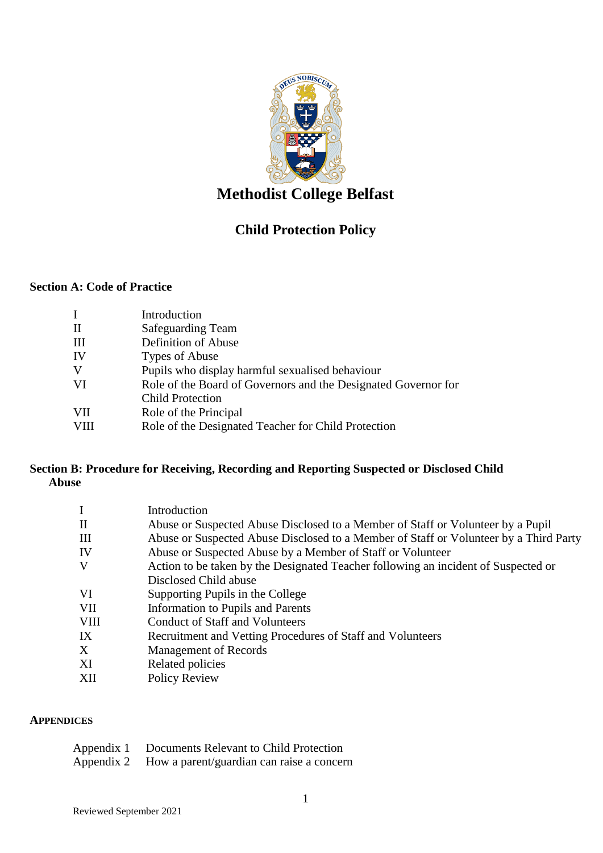

# **Methodist College Belfast**

## **Child Protection Policy**

## **Section A: Code of Practice**

| I            | Introduction                                                   |
|--------------|----------------------------------------------------------------|
| $\mathbf{I}$ | <b>Safeguarding Team</b>                                       |
| Ш            | Definition of Abuse                                            |
| IV           | Types of Abuse                                                 |
| V            | Pupils who display harmful sexualised behaviour                |
| VI           | Role of the Board of Governors and the Designated Governor for |
|              | <b>Child Protection</b>                                        |
| VІІ          | Role of the Principal                                          |
| <b>VIII</b>  | Role of the Designated Teacher for Child Protection            |
|              |                                                                |

## **Section B: Procedure for Receiving, Recording and Reporting Suspected or Disclosed Child Abuse**

| $\mathbf I$  | Introduction                                                                          |
|--------------|---------------------------------------------------------------------------------------|
| $\mathbf{I}$ | Abuse or Suspected Abuse Disclosed to a Member of Staff or Volunteer by a Pupil       |
| Ш            | Abuse or Suspected Abuse Disclosed to a Member of Staff or Volunteer by a Third Party |
| IV           | Abuse or Suspected Abuse by a Member of Staff or Volunteer                            |
| V            | Action to be taken by the Designated Teacher following an incident of Suspected or    |
|              | Disclosed Child abuse                                                                 |
| VI           | Supporting Pupils in the College                                                      |
| VII          | <b>Information to Pupils and Parents</b>                                              |
| <b>VIII</b>  | <b>Conduct of Staff and Volunteers</b>                                                |
| IX           | Recruitment and Vetting Procedures of Staff and Volunteers                            |
| X            | <b>Management of Records</b>                                                          |
| XI           | Related policies                                                                      |
| XII          | Policy Review                                                                         |

#### **APPENDICES**

| Appendix 1 |  | Documents Relevant to Child Protection |  |  |  |
|------------|--|----------------------------------------|--|--|--|
|            |  |                                        |  |  |  |

Appendix 2 How a parent/guardian can raise a concern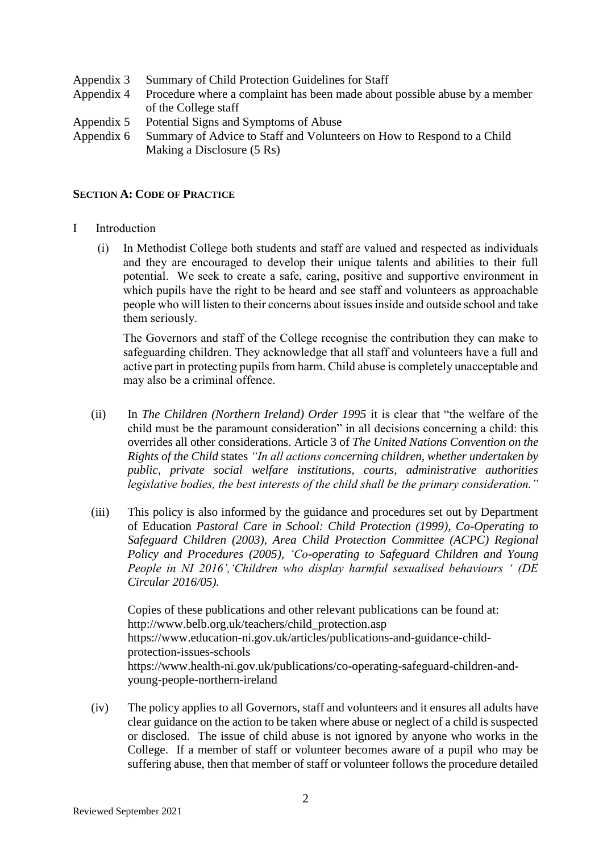- Appendix 3 Summary of Child Protection Guidelines for Staff
- Appendix 4 Procedure where a complaint has been made about possible abuse by a member of the College staff
- Appendix 5 Potential Signs and Symptoms of Abuse
- Appendix 6 Summary of Advice to Staff and Volunteers on How to Respond to a Child Making a Disclosure (5 Rs)

#### **SECTION A: CODE OF PRACTICE**

- I Introduction
	- (i) In Methodist College both students and staff are valued and respected as individuals and they are encouraged to develop their unique talents and abilities to their full potential. We seek to create a safe, caring, positive and supportive environment in which pupils have the right to be heard and see staff and volunteers as approachable people who will listen to their concerns about issues inside and outside school and take them seriously.

The Governors and staff of the College recognise the contribution they can make to safeguarding children. They acknowledge that all staff and volunteers have a full and active part in protecting pupils from harm. Child abuse is completely unacceptable and may also be a criminal offence.

- (ii) In *The Children (Northern Ireland) Order 1995* it is clear that "the welfare of the child must be the paramount consideration" in all decisions concerning a child: this overrides all other considerations. Article 3 of *The United Nations Convention on the Rights of the Child* states *"In all actions concerning children, whether undertaken by public, private social welfare institutions, courts, administrative authorities legislative bodies, the best interests of the child shall be the primary consideration."*
- (iii) This policy is also informed by the guidance and procedures set out by Department of Education *Pastoral Care in School: Child Protection (1999), Co-Operating to Safeguard Children (2003)*, *Area Child Protection Committee (ACPC) Regional Policy and Procedures (2005), 'Co-operating to Safeguard Children and Young People in NI 2016','Children who display harmful sexualised behaviours ' (DE Circular 2016/05).*

Copies of these publications and other relevant publications can be found at: http://www.belb.org.uk/teachers/child\_protection.asp https://www.education-ni.gov.uk/articles/publications-and-guidance-childprotection-issues-schools https://www.health-ni.gov.uk/publications/co-operating-safeguard-children-andyoung-people-northern-ireland

(iv) The policy applies to all Governors, staff and volunteers and it ensures all adults have clear guidance on the action to be taken where abuse or neglect of a child is suspected or disclosed. The issue of child abuse is not ignored by anyone who works in the College. If a member of staff or volunteer becomes aware of a pupil who may be suffering abuse, then that member of staff or volunteer follows the procedure detailed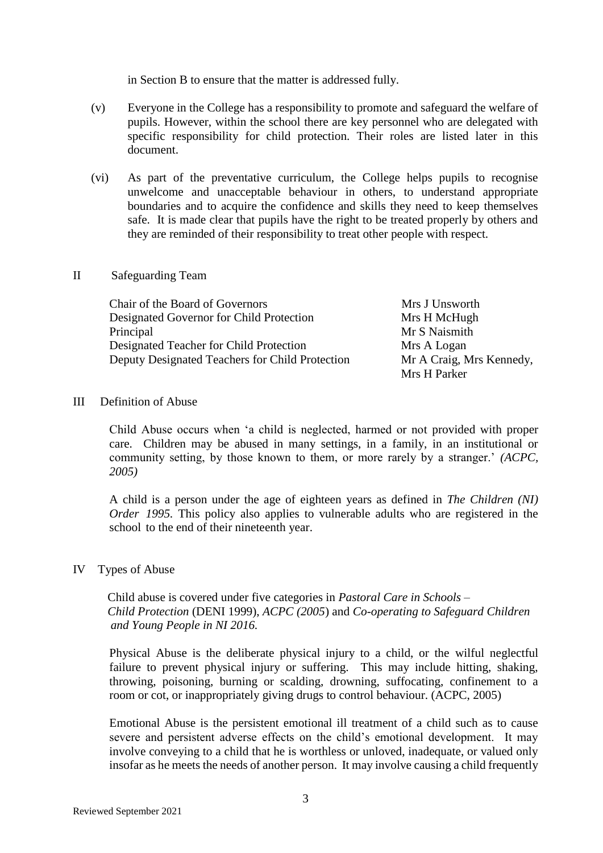in Section B to ensure that the matter is addressed fully.

- (v) Everyone in the College has a responsibility to promote and safeguard the welfare of pupils. However, within the school there are key personnel who are delegated with specific responsibility for child protection. Their roles are listed later in this document.
- (vi) As part of the preventative curriculum, the College helps pupils to recognise unwelcome and unacceptable behaviour in others, to understand appropriate boundaries and to acquire the confidence and skills they need to keep themselves safe. It is made clear that pupils have the right to be treated properly by others and they are reminded of their responsibility to treat other people with respect.

#### II Safeguarding Team

Chair of the Board of Governors Mrs J Unsworth Designated Governor for Child Protection Mrs H McHugh Principal Mr S Naismith Designated Teacher for Child Protection Mrs A Logan Deputy Designated Teachers for Child Protection Mr A Craig, Mrs Kennedy,

Mrs H Parker

#### III Definition of Abuse

Child Abuse occurs when 'a child is neglected, harmed or not provided with proper care. Children may be abused in many settings, in a family, in an institutional or community setting, by those known to them, or more rarely by a stranger.' *(ACPC, 2005)*

A child is a person under the age of eighteen years as defined in *The Children (NI) Order 1995*. This policy also applies to vulnerable adults who are registered in the school to the end of their nineteenth year.

#### IV Types of Abuse

 Child abuse is covered under five categories in *Pastoral Care in Schools – Child Protection* (DENI 1999), *ACPC (2005*) and *Co-operating to Safeguard Children and Young People in NI 2016.*

Physical Abuse is the deliberate physical injury to a child, or the wilful neglectful failure to prevent physical injury or suffering. This may include hitting, shaking, throwing, poisoning, burning or scalding, drowning, suffocating, confinement to a room or cot, or inappropriately giving drugs to control behaviour. (ACPC, 2005)

Emotional Abuse is the persistent emotional ill treatment of a child such as to cause severe and persistent adverse effects on the child's emotional development. It may involve conveying to a child that he is worthless or unloved, inadequate, or valued only insofar as he meets the needs of another person. It may involve causing a child frequently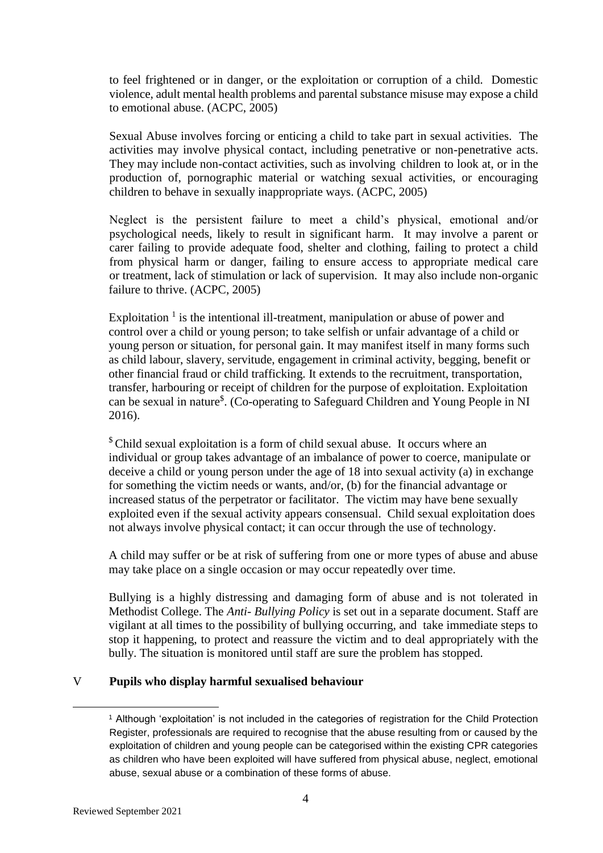to feel frightened or in danger, or the exploitation or corruption of a child. Domestic violence, adult mental health problems and parental substance misuse may expose a child to emotional abuse. (ACPC, 2005)

Sexual Abuse involves forcing or enticing a child to take part in sexual activities. The activities may involve physical contact, including penetrative or non-penetrative acts. They may include non-contact activities, such as involving children to look at, or in the production of, pornographic material or watching sexual activities, or encouraging children to behave in sexually inappropriate ways. (ACPC, 2005)

Neglect is the persistent failure to meet a child's physical, emotional and/or psychological needs, likely to result in significant harm. It may involve a parent or carer failing to provide adequate food, shelter and clothing, failing to protect a child from physical harm or danger, failing to ensure access to appropriate medical care or treatment, lack of stimulation or lack of supervision. It may also include non-organic failure to thrive. (ACPC, 2005)

Exploitation<sup>1</sup> is the intentional ill-treatment, manipulation or abuse of power and control over a child or young person; to take selfish or unfair advantage of a child or young person or situation, for personal gain. It may manifest itself in many forms such as child labour, slavery, servitude, engagement in criminal activity, begging, benefit or other financial fraud or child trafficking. It extends to the recruitment, transportation, transfer, harbouring or receipt of children for the purpose of exploitation. Exploitation can be sexual in nature\$ . (Co-operating to Safeguard Children and Young People in NI 2016).

<sup>\$</sup> Child sexual exploitation is a form of child sexual abuse. It occurs where an individual or group takes advantage of an imbalance of power to coerce, manipulate or deceive a child or young person under the age of 18 into sexual activity (a) in exchange for something the victim needs or wants, and/or, (b) for the financial advantage or increased status of the perpetrator or facilitator. The victim may have bene sexually exploited even if the sexual activity appears consensual. Child sexual exploitation does not always involve physical contact; it can occur through the use of technology.

A child may suffer or be at risk of suffering from one or more types of abuse and abuse may take place on a single occasion or may occur repeatedly over time.

Bullying is a highly distressing and damaging form of abuse and is not tolerated in Methodist College. The *Anti- Bullying Policy* is set out in a separate document. Staff are vigilant at all times to the possibility of bullying occurring, and take immediate steps to stop it happening, to protect and reassure the victim and to deal appropriately with the bully. The situation is monitored until staff are sure the problem has stopped.

## V **Pupils who display harmful sexualised behaviour**

1

<sup>1</sup> Although 'exploitation' is not included in the categories of registration for the Child Protection Register, professionals are required to recognise that the abuse resulting from or caused by the exploitation of children and young people can be categorised within the existing CPR categories as children who have been exploited will have suffered from physical abuse, neglect, emotional abuse, sexual abuse or a combination of these forms of abuse.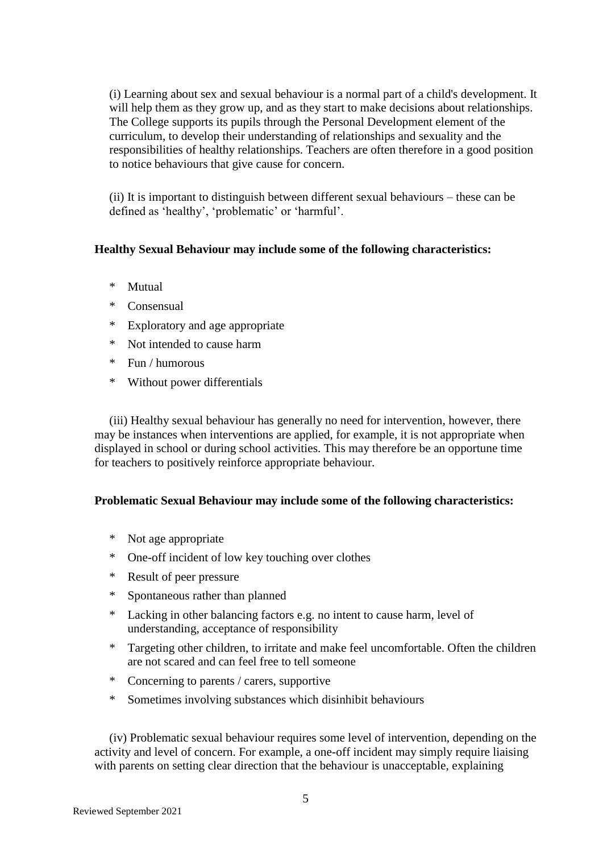(i) Learning about sex and sexual behaviour is a normal part of a child's development. It will help them as they grow up, and as they start to make decisions about relationships. The College supports its pupils through the Personal Development element of the curriculum, to develop their understanding of relationships and sexuality and the responsibilities of healthy relationships. Teachers are often therefore in a good position to notice behaviours that give cause for concern.

(ii) It is important to distinguish between different sexual behaviours – these can be defined as 'healthy', 'problematic' or 'harmful'.

## **Healthy Sexual Behaviour may include some of the following characteristics:**

- \* Mutual
- \* Consensual
- \* Exploratory and age appropriate
- \* Not intended to cause harm
- \* Fun / humorous
- \* Without power differentials

(iii) Healthy sexual behaviour has generally no need for intervention, however, there may be instances when interventions are applied, for example, it is not appropriate when displayed in school or during school activities. This may therefore be an opportune time for teachers to positively reinforce appropriate behaviour.

## **Problematic Sexual Behaviour may include some of the following characteristics:**

- \* Not age appropriate
- \* One-off incident of low key touching over clothes
- \* Result of peer pressure
- \* Spontaneous rather than planned
- \* Lacking in other balancing factors e.g. no intent to cause harm, level of understanding, acceptance of responsibility
- \* Targeting other children, to irritate and make feel uncomfortable. Often the children are not scared and can feel free to tell someone
- \* Concerning to parents / carers, supportive
- \* Sometimes involving substances which disinhibit behaviours

(iv) Problematic sexual behaviour requires some level of intervention, depending on the activity and level of concern. For example, a one-off incident may simply require liaising with parents on setting clear direction that the behaviour is unacceptable, explaining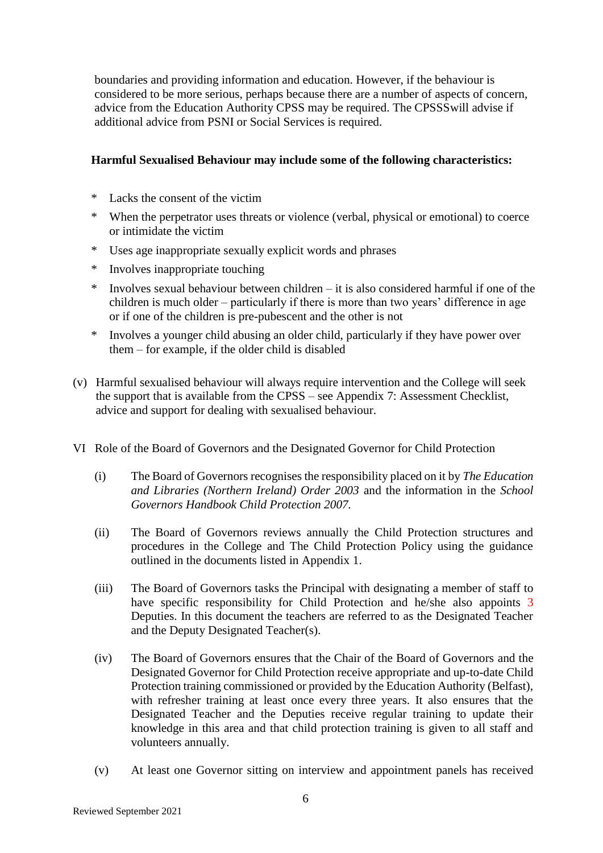boundaries and providing information and education. However, if the behaviour is considered to be more serious, perhaps because there are a number of aspects of concern, advice from the Education Authority CPSS may be required. The CPSSSwill advise if additional advice from PSNI or Social Services is required.

## **Harmful Sexualised Behaviour may include some of the following characteristics:**

- \* Lacks the consent of the victim
- \* When the perpetrator uses threats or violence (verbal, physical or emotional) to coerce or intimidate the victim
- \* Uses age inappropriate sexually explicit words and phrases
- \* Involves inappropriate touching
- \* Involves sexual behaviour between children it is also considered harmful if one of the children is much older – particularly if there is more than two years' difference in age or if one of the children is pre-pubescent and the other is not
- \* Involves a younger child abusing an older child, particularly if they have power over them – for example, if the older child is disabled
- (v) Harmful sexualised behaviour will always require intervention and the College will seek the support that is available from the CPSS – see Appendix 7: Assessment Checklist, advice and support for dealing with sexualised behaviour.
- VI Role of the Board of Governors and the Designated Governor for Child Protection
	- (i) The Board of Governors recognises the responsibility placed on it by *The Education and Libraries (Northern Ireland) Order 2003* and the information in the *School Governors Handbook Child Protection 2007.*
	- (ii) The Board of Governors reviews annually the Child Protection structures and procedures in the College and The Child Protection Policy using the guidance outlined in the documents listed in Appendix 1.
	- (iii) The Board of Governors tasks the Principal with designating a member of staff to have specific responsibility for Child Protection and he/she also appoints 3 Deputies. In this document the teachers are referred to as the Designated Teacher and the Deputy Designated Teacher(s).
	- (iv) The Board of Governors ensures that the Chair of the Board of Governors and the Designated Governor for Child Protection receive appropriate and up-to-date Child Protection training commissioned or provided by the Education Authority (Belfast), with refresher training at least once every three years. It also ensures that the Designated Teacher and the Deputies receive regular training to update their knowledge in this area and that child protection training is given to all staff and volunteers annually.
	- (v) At least one Governor sitting on interview and appointment panels has received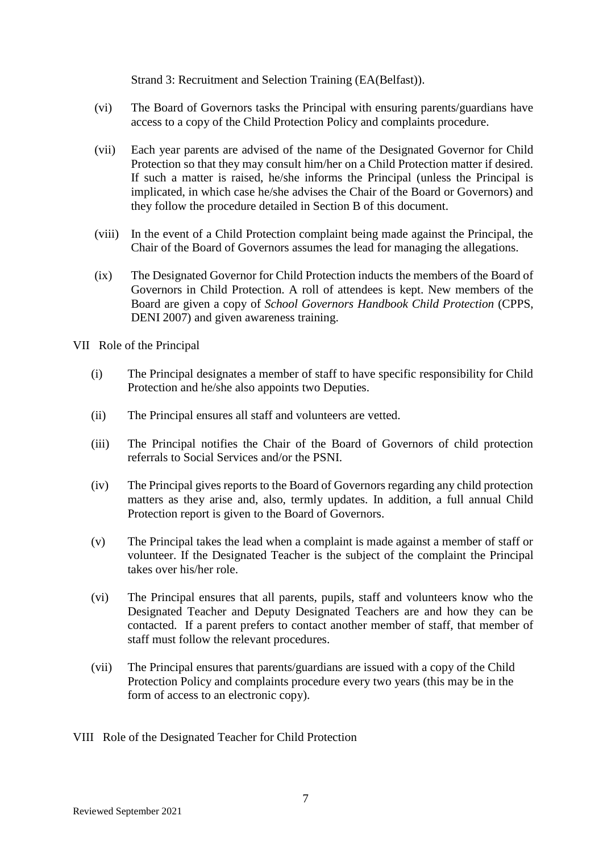Strand 3: Recruitment and Selection Training (EA(Belfast)).

- (vi) The Board of Governors tasks the Principal with ensuring parents/guardians have access to a copy of the Child Protection Policy and complaints procedure.
- (vii) Each year parents are advised of the name of the Designated Governor for Child Protection so that they may consult him/her on a Child Protection matter if desired. If such a matter is raised, he/she informs the Principal (unless the Principal is implicated, in which case he/she advises the Chair of the Board or Governors) and they follow the procedure detailed in Section B of this document.
- (viii) In the event of a Child Protection complaint being made against the Principal, the Chair of the Board of Governors assumes the lead for managing the allegations.
- (ix) The Designated Governor for Child Protection inducts the members of the Board of Governors in Child Protection. A roll of attendees is kept. New members of the Board are given a copy of *School Governors Handbook Child Protection* (CPPS, DENI 2007) and given awareness training.

VII Role of the Principal

- (i) The Principal designates a member of staff to have specific responsibility for Child Protection and he/she also appoints two Deputies.
- (ii) The Principal ensures all staff and volunteers are vetted.
- (iii) The Principal notifies the Chair of the Board of Governors of child protection referrals to Social Services and/or the PSNI.
- (iv) The Principal gives reports to the Board of Governors regarding any child protection matters as they arise and, also, termly updates. In addition, a full annual Child Protection report is given to the Board of Governors.
- (v) The Principal takes the lead when a complaint is made against a member of staff or volunteer. If the Designated Teacher is the subject of the complaint the Principal takes over his/her role.
- (vi) The Principal ensures that all parents, pupils, staff and volunteers know who the Designated Teacher and Deputy Designated Teachers are and how they can be contacted. If a parent prefers to contact another member of staff, that member of staff must follow the relevant procedures.
- (vii) The Principal ensures that parents/guardians are issued with a copy of the Child Protection Policy and complaints procedure every two years (this may be in the form of access to an electronic copy).
- VIII Role of the Designated Teacher for Child Protection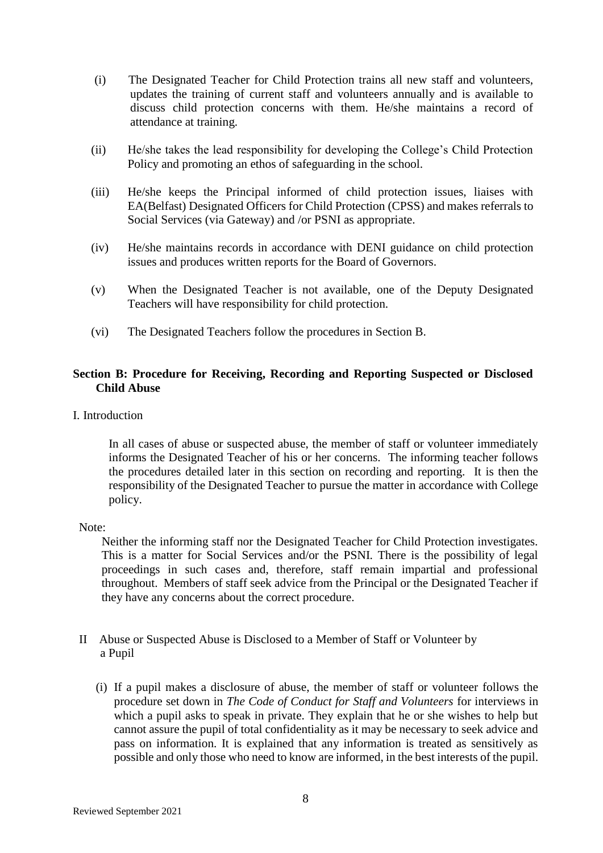- (i) The Designated Teacher for Child Protection trains all new staff and volunteers, updates the training of current staff and volunteers annually and is available to discuss child protection concerns with them. He/she maintains a record of attendance at training.
- (ii) He/she takes the lead responsibility for developing the College's Child Protection Policy and promoting an ethos of safeguarding in the school.
- (iii) He/she keeps the Principal informed of child protection issues, liaises with EA(Belfast) Designated Officers for Child Protection (CPSS) and makes referrals to Social Services (via Gateway) and /or PSNI as appropriate.
- (iv) He/she maintains records in accordance with DENI guidance on child protection issues and produces written reports for the Board of Governors.
- (v) When the Designated Teacher is not available, one of the Deputy Designated Teachers will have responsibility for child protection.
- (vi) The Designated Teachers follow the procedures in Section B.

## **Section B: Procedure for Receiving, Recording and Reporting Suspected or Disclosed Child Abuse**

I. Introduction

In all cases of abuse or suspected abuse, the member of staff or volunteer immediately informs the Designated Teacher of his or her concerns. The informing teacher follows the procedures detailed later in this section on recording and reporting. It is then the responsibility of the Designated Teacher to pursue the matter in accordance with College policy.

Note:

Neither the informing staff nor the Designated Teacher for Child Protection investigates. This is a matter for Social Services and/or the PSNI. There is the possibility of legal proceedings in such cases and, therefore, staff remain impartial and professional throughout. Members of staff seek advice from the Principal or the Designated Teacher if they have any concerns about the correct procedure.

- II Abuse or Suspected Abuse is Disclosed to a Member of Staff or Volunteer by a Pupil
	- (i) If a pupil makes a disclosure of abuse, the member of staff or volunteer follows the procedure set down in *The Code of Conduct for Staff and Volunteers* for interviews in which a pupil asks to speak in private. They explain that he or she wishes to help but cannot assure the pupil of total confidentiality as it may be necessary to seek advice and pass on information. It is explained that any information is treated as sensitively as possible and only those who need to know are informed, in the best interests of the pupil.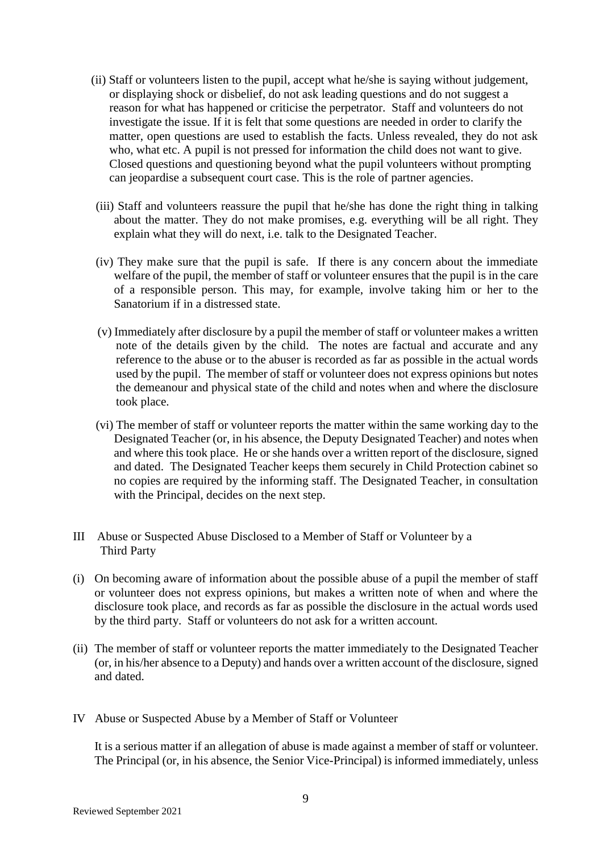- (ii) Staff or volunteers listen to the pupil, accept what he/she is saying without judgement, or displaying shock or disbelief, do not ask leading questions and do not suggest a reason for what has happened or criticise the perpetrator. Staff and volunteers do not investigate the issue. If it is felt that some questions are needed in order to clarify the matter, open questions are used to establish the facts. Unless revealed, they do not ask who, what etc. A pupil is not pressed for information the child does not want to give. Closed questions and questioning beyond what the pupil volunteers without prompting can jeopardise a subsequent court case. This is the role of partner agencies.
- (iii) Staff and volunteers reassure the pupil that he/she has done the right thing in talking about the matter. They do not make promises, e.g. everything will be all right. They explain what they will do next, i.e. talk to the Designated Teacher.
- (iv) They make sure that the pupil is safe. If there is any concern about the immediate welfare of the pupil, the member of staff or volunteer ensures that the pupil is in the care of a responsible person. This may, for example, involve taking him or her to the Sanatorium if in a distressed state.
- (v) Immediately after disclosure by a pupil the member of staff or volunteer makes a written note of the details given by the child. The notes are factual and accurate and any reference to the abuse or to the abuser is recorded as far as possible in the actual words used by the pupil. The member of staff or volunteer does not express opinions but notes the demeanour and physical state of the child and notes when and where the disclosure took place.
- (vi) The member of staff or volunteer reports the matter within the same working day to the Designated Teacher (or, in his absence, the Deputy Designated Teacher) and notes when and where this took place. He or she hands over a written report of the disclosure, signed and dated. The Designated Teacher keeps them securely in Child Protection cabinet so no copies are required by the informing staff. The Designated Teacher, in consultation with the Principal, decides on the next step.
- III Abuse or Suspected Abuse Disclosed to a Member of Staff or Volunteer by a Third Party
- (i) On becoming aware of information about the possible abuse of a pupil the member of staff or volunteer does not express opinions, but makes a written note of when and where the disclosure took place, and records as far as possible the disclosure in the actual words used by the third party. Staff or volunteers do not ask for a written account.
- (ii) The member of staff or volunteer reports the matter immediately to the Designated Teacher (or, in his/her absence to a Deputy) and hands over a written account of the disclosure, signed and dated.
- IV Abuse or Suspected Abuse by a Member of Staff or Volunteer

It is a serious matter if an allegation of abuse is made against a member of staff or volunteer. The Principal (or, in his absence, the Senior Vice-Principal) is informed immediately, unless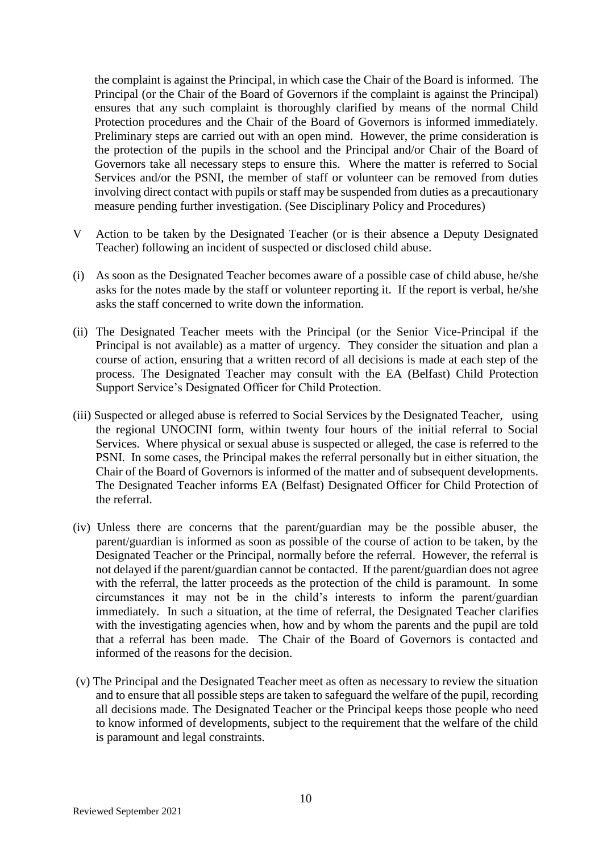the complaint is against the Principal, in which case the Chair of the Board is informed. The Principal (or the Chair of the Board of Governors if the complaint is against the Principal) ensures that any such complaint is thoroughly clarified by means of the normal Child Protection procedures and the Chair of the Board of Governors is informed immediately. Preliminary steps are carried out with an open mind. However, the prime consideration is the protection of the pupils in the school and the Principal and/or Chair of the Board of Governors take all necessary steps to ensure this. Where the matter is referred to Social Services and/or the PSNI, the member of staff or volunteer can be removed from duties involving direct contact with pupils or staff may be suspended from duties as a precautionary measure pending further investigation. (See Disciplinary Policy and Procedures)

- V Action to be taken by the Designated Teacher (or is their absence a Deputy Designated Teacher) following an incident of suspected or disclosed child abuse.
- (i) As soon as the Designated Teacher becomes aware of a possible case of child abuse, he/she asks for the notes made by the staff or volunteer reporting it. If the report is verbal, he/she asks the staff concerned to write down the information.
- (ii) The Designated Teacher meets with the Principal (or the Senior Vice-Principal if the Principal is not available) as a matter of urgency. They consider the situation and plan a course of action, ensuring that a written record of all decisions is made at each step of the process. The Designated Teacher may consult with the EA (Belfast) Child Protection Support Service's Designated Officer for Child Protection.
- (iii) Suspected or alleged abuse is referred to Social Services by the Designated Teacher, using the regional UNOCINI form, within twenty four hours of the initial referral to Social Services. Where physical or sexual abuse is suspected or alleged, the case is referred to the PSNI. In some cases, the Principal makes the referral personally but in either situation, the Chair of the Board of Governors is informed of the matter and of subsequent developments. The Designated Teacher informs EA (Belfast) Designated Officer for Child Protection of the referral.
- (iv) Unless there are concerns that the parent/guardian may be the possible abuser, the parent/guardian is informed as soon as possible of the course of action to be taken, by the Designated Teacher or the Principal, normally before the referral. However, the referral is not delayed if the parent/guardian cannot be contacted. If the parent/guardian does not agree with the referral, the latter proceeds as the protection of the child is paramount. In some circumstances it may not be in the child's interests to inform the parent/guardian immediately. In such a situation, at the time of referral, the Designated Teacher clarifies with the investigating agencies when, how and by whom the parents and the pupil are told that a referral has been made. The Chair of the Board of Governors is contacted and informed of the reasons for the decision.
- (v) The Principal and the Designated Teacher meet as often as necessary to review the situation and to ensure that all possible steps are taken to safeguard the welfare of the pupil, recording all decisions made. The Designated Teacher or the Principal keeps those people who need to know informed of developments, subject to the requirement that the welfare of the child is paramount and legal constraints.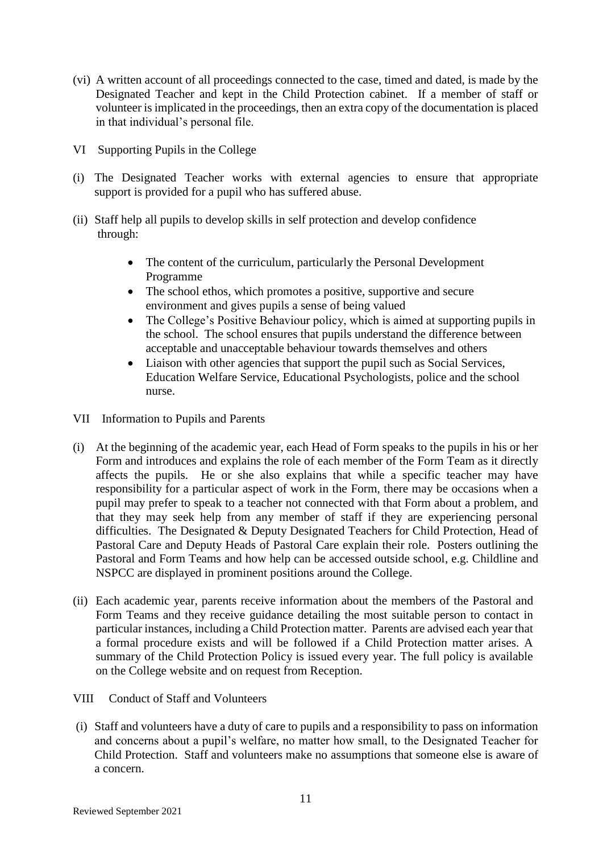- (vi) A written account of all proceedings connected to the case, timed and dated, is made by the Designated Teacher and kept in the Child Protection cabinet. If a member of staff or volunteer is implicated in the proceedings, then an extra copy of the documentation is placed in that individual's personal file.
- VI Supporting Pupils in the College
- (i) The Designated Teacher works with external agencies to ensure that appropriate support is provided for a pupil who has suffered abuse.
- (ii) Staff help all pupils to develop skills in self protection and develop confidence through:
	- The content of the curriculum, particularly the Personal Development Programme
	- The school ethos, which promotes a positive, supportive and secure environment and gives pupils a sense of being valued
	- The College's Positive Behaviour policy, which is aimed at supporting pupils in the school. The school ensures that pupils understand the difference between acceptable and unacceptable behaviour towards themselves and others
	- Liaison with other agencies that support the pupil such as Social Services, Education Welfare Service, Educational Psychologists, police and the school nurse.
- VII Information to Pupils and Parents
- (i) At the beginning of the academic year, each Head of Form speaks to the pupils in his or her Form and introduces and explains the role of each member of the Form Team as it directly affects the pupils. He or she also explains that while a specific teacher may have responsibility for a particular aspect of work in the Form, there may be occasions when a pupil may prefer to speak to a teacher not connected with that Form about a problem, and that they may seek help from any member of staff if they are experiencing personal difficulties. The Designated & Deputy Designated Teachers for Child Protection, Head of Pastoral Care and Deputy Heads of Pastoral Care explain their role. Posters outlining the Pastoral and Form Teams and how help can be accessed outside school, e.g. Childline and NSPCC are displayed in prominent positions around the College.
- (ii) Each academic year, parents receive information about the members of the Pastoral and Form Teams and they receive guidance detailing the most suitable person to contact in particular instances, including a Child Protection matter. Parents are advised each year that a formal procedure exists and will be followed if a Child Protection matter arises. A summary of the Child Protection Policy is issued every year. The full policy is available on the College website and on request from Reception.
- VIII Conduct of Staff and Volunteers
- (i) Staff and volunteers have a duty of care to pupils and a responsibility to pass on information and concerns about a pupil's welfare, no matter how small, to the Designated Teacher for Child Protection. Staff and volunteers make no assumptions that someone else is aware of a concern.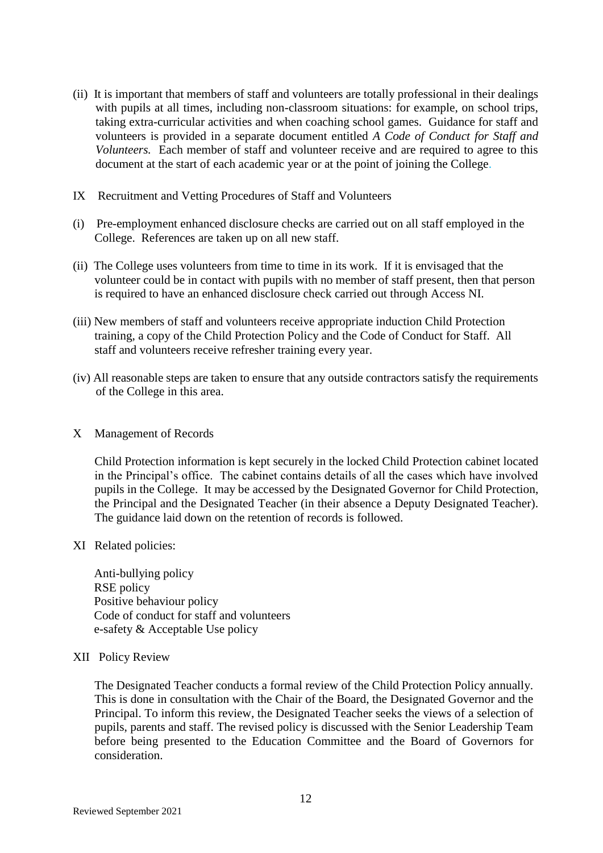- (ii) It is important that members of staff and volunteers are totally professional in their dealings with pupils at all times, including non-classroom situations: for example, on school trips, taking extra-curricular activities and when coaching school games. Guidance for staff and volunteers is provided in a separate document entitled *A Code of Conduct for Staff and Volunteers.* Each member of staff and volunteer receive and are required to agree to this document at the start of each academic year or at the point of joining the College.
- IX Recruitment and Vetting Procedures of Staff and Volunteers
- (i) Pre-employment enhanced disclosure checks are carried out on all staff employed in the College. References are taken up on all new staff.
- (ii) The College uses volunteers from time to time in its work. If it is envisaged that the volunteer could be in contact with pupils with no member of staff present, then that person is required to have an enhanced disclosure check carried out through Access NI.
- (iii) New members of staff and volunteers receive appropriate induction Child Protection training, a copy of the Child Protection Policy and the Code of Conduct for Staff. All staff and volunteers receive refresher training every year.
- (iv) All reasonable steps are taken to ensure that any outside contractors satisfy the requirements of the College in this area.
- X Management of Records

Child Protection information is kept securely in the locked Child Protection cabinet located in the Principal's office. The cabinet contains details of all the cases which have involved pupils in the College. It may be accessed by the Designated Governor for Child Protection, the Principal and the Designated Teacher (in their absence a Deputy Designated Teacher). The guidance laid down on the retention of records is followed.

XI Related policies:

 Anti-bullying policy RSE policy Positive behaviour policy Code of conduct for staff and volunteers e-safety & Acceptable Use policy

#### XII Policy Review

The Designated Teacher conducts a formal review of the Child Protection Policy annually. This is done in consultation with the Chair of the Board, the Designated Governor and the Principal. To inform this review, the Designated Teacher seeks the views of a selection of pupils, parents and staff. The revised policy is discussed with the Senior Leadership Team before being presented to the Education Committee and the Board of Governors for consideration.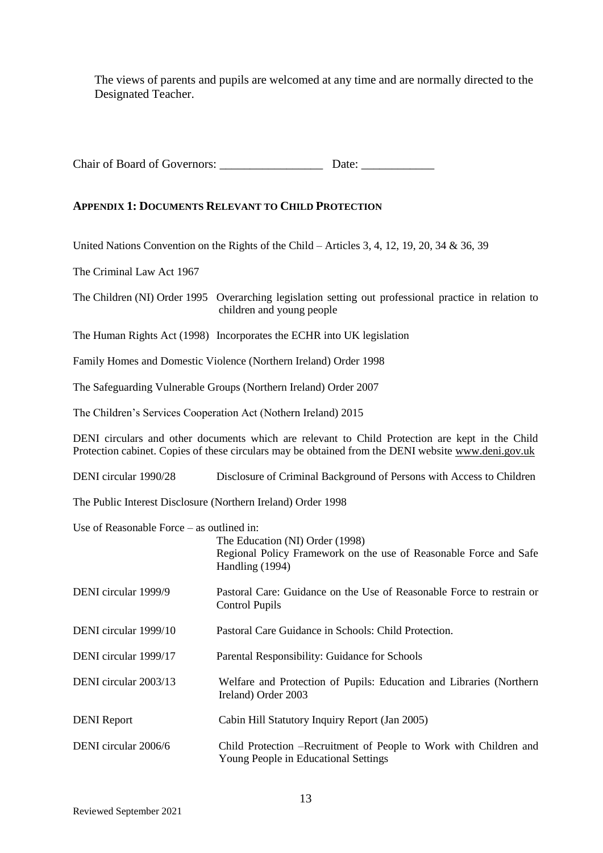The views of parents and pupils are welcomed at any time and are normally directed to the Designated Teacher.

Chair of Board of Governors: \_\_\_\_\_\_\_\_\_\_\_\_\_\_\_\_\_ Date: \_\_\_\_\_\_\_\_\_\_\_\_

#### **APPENDIX 1: DOCUMENTS RELEVANT TO CHILD PROTECTION**

United Nations Convention on the Rights of the Child – Articles 3, 4, 12, 19, 20, 34 & 36, 39

The Criminal Law Act 1967

The Children (NI) Order 1995 Overarching legislation setting out professional practice in relation to children and young people

The Human Rights Act (1998) Incorporates the ECHR into UK legislation

Family Homes and Domestic Violence (Northern Ireland) Order 1998

The Safeguarding Vulnerable Groups (Northern Ireland) Order 2007

The Children's Services Cooperation Act (Nothern Ireland) 2015

DENI circulars and other documents which are relevant to Child Protection are kept in the Child Protection cabinet. Copies of these circulars may be obtained from the DENI website www.deni.gov.uk

DENI circular 1990/28 Disclosure of Criminal Background of Persons with Access to Children

The Public Interest Disclosure (Northern Ireland) Order 1998

Use of Reasonable Force – as outlined in:

|                       | The Education (NI) Order (1998)<br>Regional Policy Framework on the use of Reasonable Force and Safe<br>Handling (1994) |
|-----------------------|-------------------------------------------------------------------------------------------------------------------------|
| DENI circular 1999/9  | Pastoral Care: Guidance on the Use of Reasonable Force to restrain or<br>Control Pupils                                 |
| DENI circular 1999/10 | Pastoral Care Guidance in Schools: Child Protection.                                                                    |
| DENI circular 1999/17 | Parental Responsibility: Guidance for Schools                                                                           |
| DENI circular 2003/13 | Welfare and Protection of Pupils: Education and Libraries (Northern<br>Ireland) Order 2003                              |
| <b>DENI</b> Report    | Cabin Hill Statutory Inquiry Report (Jan 2005)                                                                          |
| DENI circular 2006/6  | Child Protection -- Recruitment of People to Work with Children and<br>Young People in Educational Settings             |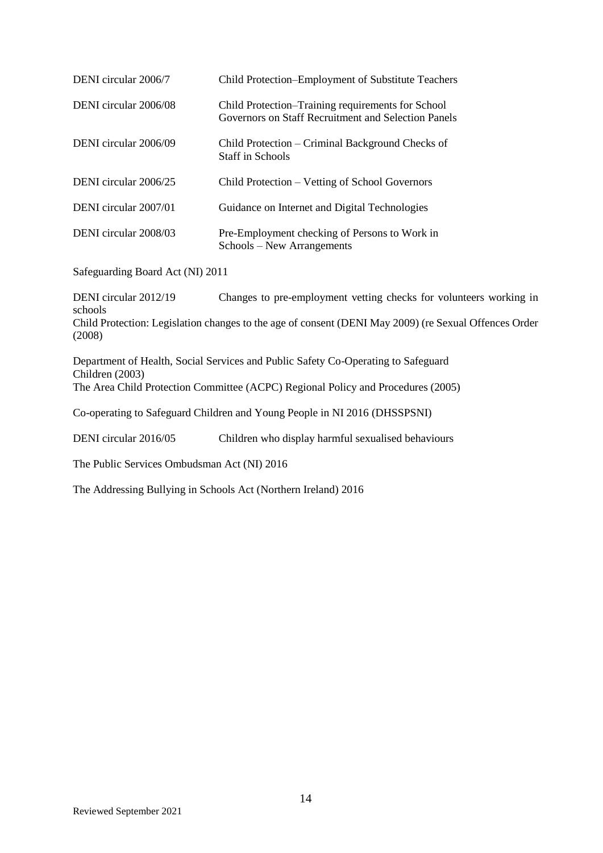| DENI circular 2006/7  | Child Protection–Employment of Substitute Teachers                                                       |
|-----------------------|----------------------------------------------------------------------------------------------------------|
| DENI circular 2006/08 | Child Protection–Training requirements for School<br>Governors on Staff Recruitment and Selection Panels |
| DENI circular 2006/09 | Child Protection – Criminal Background Checks of<br>Staff in Schools                                     |
| DENI circular 2006/25 | Child Protection – Vetting of School Governors                                                           |
| DENI circular 2007/01 | Guidance on Internet and Digital Technologies                                                            |
| DENI circular 2008/03 | Pre-Employment checking of Persons to Work in<br>Schools – New Arrangements                              |

Safeguarding Board Act (NI) 2011

DENI circular 2012/19 Changes to pre-employment vetting checks for volunteers working in schools Child Protection: Legislation changes to the age of consent (DENI May 2009) (re Sexual Offences Order (2008)

Department of Health, Social Services and Public Safety Co-Operating to Safeguard Children (2003) The Area Child Protection Committee (ACPC) Regional Policy and Procedures (2005)

Co-operating to Safeguard Children and Young People in NI 2016 (DHSSPSNI)

DENI circular 2016/05 Children who display harmful sexualised behaviours

The Public Services Ombudsman Act (NI) 2016

The Addressing Bullying in Schools Act (Northern Ireland) 2016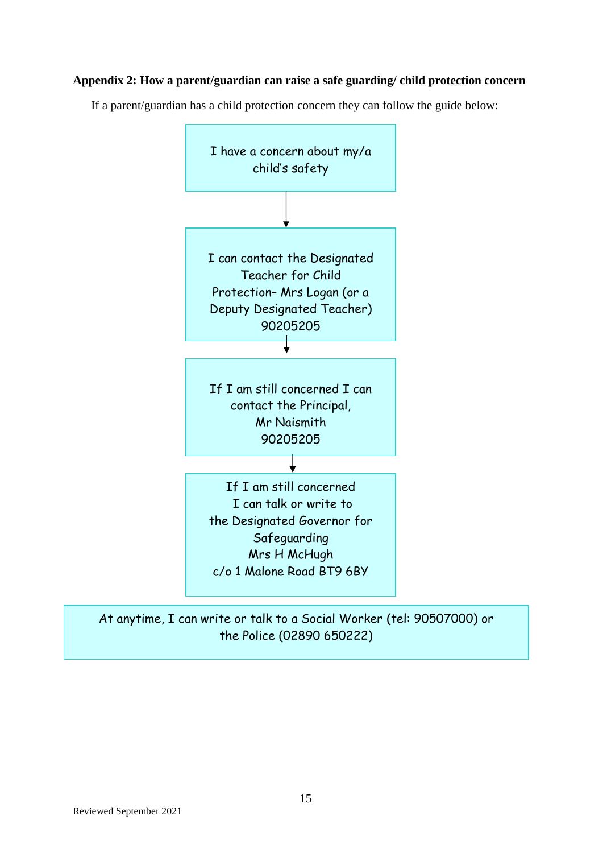## **Appendix 2: How a parent/guardian can raise a safe guarding/ child protection concern**

If a parent/guardian has a child protection concern they can follow the guide below:



## At anytime, I can write or talk to a Social Worker (tel: 90507000) or the Police (02890 650222)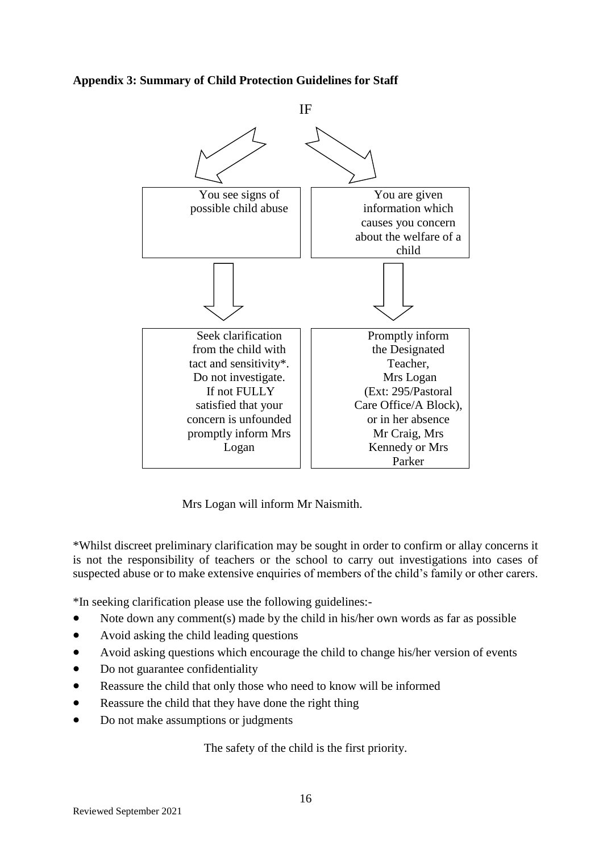**Appendix 3: Summary of Child Protection Guidelines for Staff**



Mrs Logan will inform Mr Naismith.

\*Whilst discreet preliminary clarification may be sought in order to confirm or allay concerns it is not the responsibility of teachers or the school to carry out investigations into cases of suspected abuse or to make extensive enquiries of members of the child's family or other carers.

\*In seeking clarification please use the following guidelines:-

- Note down any comment(s) made by the child in his/her own words as far as possible
- Avoid asking the child leading questions
- Avoid asking questions which encourage the child to change his/her version of events
- Do not guarantee confidentiality
- Reassure the child that only those who need to know will be informed
- Reassure the child that they have done the right thing
- Do not make assumptions or judgments

The safety of the child is the first priority.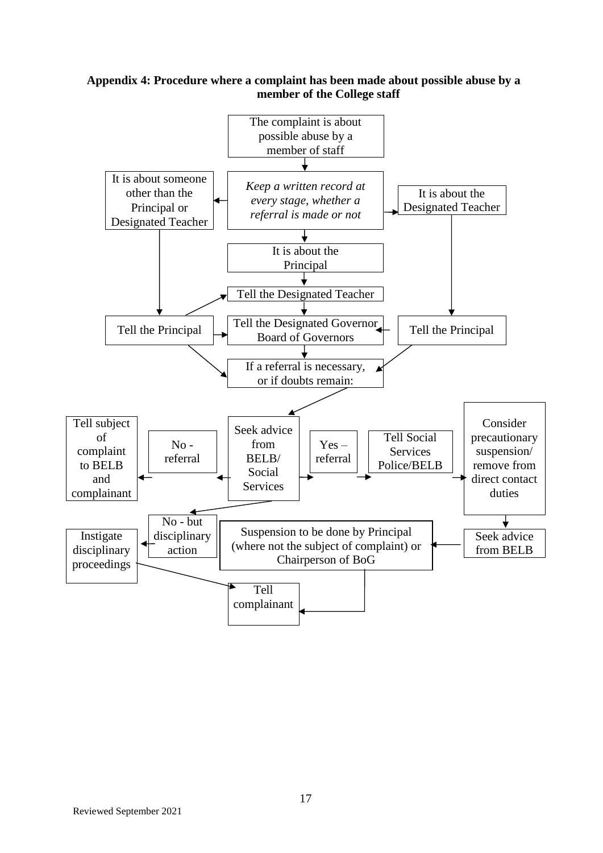#### **Appendix 4: Procedure where a complaint has been made about possible abuse by a member of the College staff**

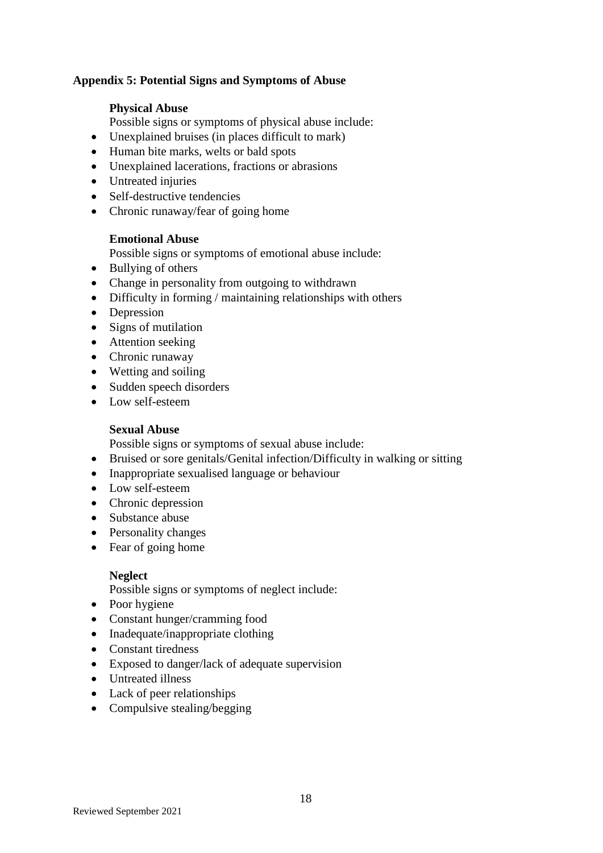## **Appendix 5: Potential Signs and Symptoms of Abuse**

#### **Physical Abuse**

Possible signs or symptoms of physical abuse include:

- Unexplained bruises (in places difficult to mark)
- Human bite marks, welts or bald spots
- Unexplained lacerations, fractions or abrasions
- Untreated injuries
- Self-destructive tendencies
- Chronic runaway/fear of going home

#### **Emotional Abuse**

Possible signs or symptoms of emotional abuse include:

- Bullying of others
- Change in personality from outgoing to withdrawn
- Difficulty in forming / maintaining relationships with others
- Depression
- Signs of mutilation
- Attention seeking
- Chronic runaway
- Wetting and soiling
- Sudden speech disorders
- Low self-esteem

#### **Sexual Abuse**

Possible signs or symptoms of sexual abuse include:

- Bruised or sore genitals/Genital infection/Difficulty in walking or sitting
- Inappropriate sexualised language or behaviour
- Low self-esteem
- Chronic depression
- Substance abuse
- Personality changes
- Fear of going home

## **Neglect**

Possible signs or symptoms of neglect include:

- Poor hygiene
- Constant hunger/cramming food
- Inadequate/inappropriate clothing
- Constant tiredness
- Exposed to danger/lack of adequate supervision
- Untreated illness
- Lack of peer relationships
- Compulsive stealing/begging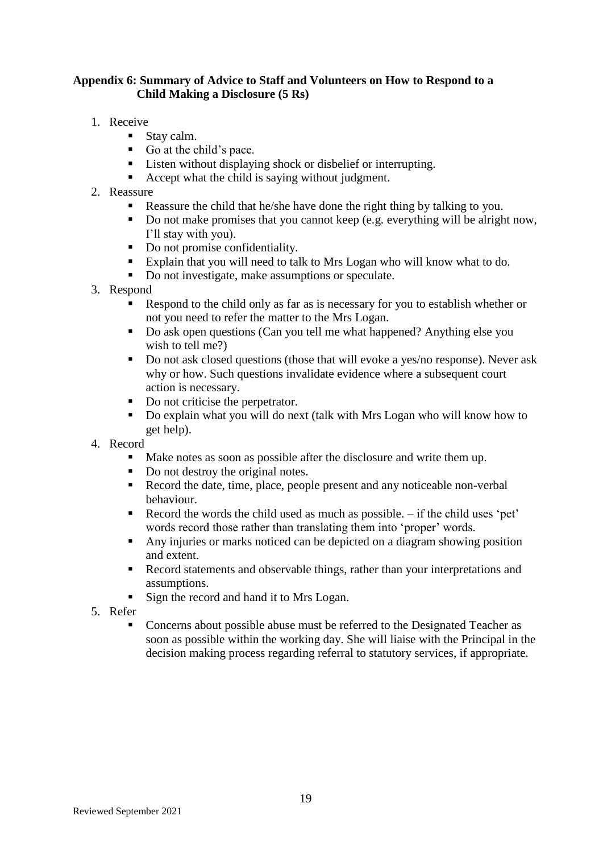## **Appendix 6: Summary of Advice to Staff and Volunteers on How to Respond to a Child Making a Disclosure (5 Rs)**

- 1. Receive
	- Stay calm.
	- Go at the child's pace.
	- Listen without displaying shock or disbelief or interrupting.
	- Accept what the child is saying without judgment.
- 2. Reassure
	- Reassure the child that he/she have done the right thing by talking to you.
	- Do not make promises that you cannot keep (e.g. everything will be alright now, I'll stay with you).
	- Do not promise confidentiality.
	- Explain that you will need to talk to Mrs Logan who will know what to do.
	- Do not investigate, make assumptions or speculate.
- 3. Respond
	- Respond to the child only as far as is necessary for you to establish whether or not you need to refer the matter to the Mrs Logan.
	- Do ask open questions (Can you tell me what happened? Anything else you wish to tell me?)
	- Do not ask closed questions (those that will evoke a yes/no response). Never ask why or how. Such questions invalidate evidence where a subsequent court action is necessary.
	- Do not criticise the perpetrator.
	- Do explain what you will do next (talk with Mrs Logan who will know how to get help).
- 4. Record
	- Make notes as soon as possible after the disclosure and write them up.
	- Do not destroy the original notes.
	- Record the date, time, place, people present and any noticeable non-verbal behaviour.
	- Record the words the child used as much as possible.  $-$  if the child uses 'pet' words record those rather than translating them into 'proper' words.
	- Any injuries or marks noticed can be depicted on a diagram showing position and extent.
	- Record statements and observable things, rather than your interpretations and assumptions.
	- Sign the record and hand it to Mrs Logan.
- 5. Refer
	- Concerns about possible abuse must be referred to the Designated Teacher as soon as possible within the working day. She will liaise with the Principal in the decision making process regarding referral to statutory services, if appropriate.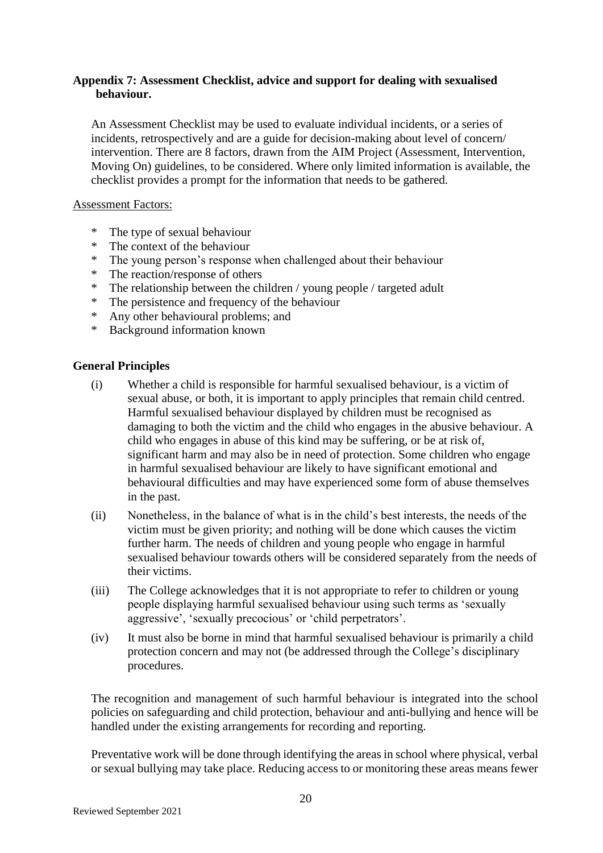## **Appendix 7: Assessment Checklist, advice and support for dealing with sexualised behaviour.**

An Assessment Checklist may be used to evaluate individual incidents, or a series of incidents, retrospectively and are a guide for decision-making about level of concern/ intervention. There are 8 factors, drawn from the AIM Project (Assessment, Intervention, Moving On) guidelines, to be considered. Where only limited information is available, the checklist provides a prompt for the information that needs to be gathered.

#### Assessment Factors:

- \* The type of sexual behaviour
- The context of the behaviour
- \* The young person's response when challenged about their behaviour<br>
\* The reaction/response of others
- The reaction/response of others
- \* The relationship between the children / young people / targeted adult
- \* The persistence and frequency of the behaviour
- \* Any other behavioural problems; and
- \* Background information known

#### **General Principles**

- (i) Whether a child is responsible for harmful sexualised behaviour, is a victim of sexual abuse, or both, it is important to apply principles that remain child centred. Harmful sexualised behaviour displayed by children must be recognised as damaging to both the victim and the child who engages in the abusive behaviour. A child who engages in abuse of this kind may be suffering, or be at risk of, significant harm and may also be in need of protection. Some children who engage in harmful sexualised behaviour are likely to have significant emotional and behavioural difficulties and may have experienced some form of abuse themselves in the past.
- (ii) Nonetheless, in the balance of what is in the child's best interests, the needs of the victim must be given priority; and nothing will be done which causes the victim further harm. The needs of children and young people who engage in harmful sexualised behaviour towards others will be considered separately from the needs of their victims.
- (iii) The College acknowledges that it is not appropriate to refer to children or young people displaying harmful sexualised behaviour using such terms as 'sexually aggressive', 'sexually precocious' or 'child perpetrators'.
- (iv) It must also be borne in mind that harmful sexualised behaviour is primarily a child protection concern and may not (be addressed through the College's disciplinary procedures.

The recognition and management of such harmful behaviour is integrated into the school policies on safeguarding and child protection, behaviour and anti-bullying and hence will be handled under the existing arrangements for recording and reporting.

Preventative work will be done through identifying the areas in school where physical, verbal or sexual bullying may take place. Reducing access to or monitoring these areas means fewer